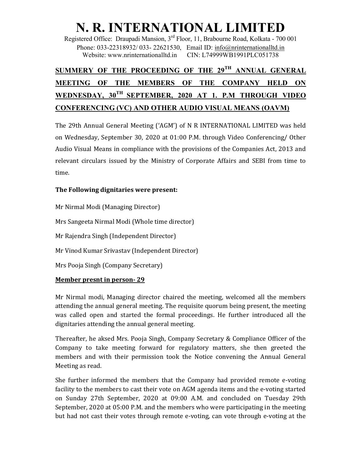# N. R. INTERNATIONAL LIMITED

Registered Office: Draupadi Mansion, 3rd Floor, 11, Brabourne Road, Kolkata - 700 001 Phone: 033-22318932/ 033- 22621530, Email ID: info@nrinternationalltd.in Website: www.nrinternationalltd.in CIN: L74999WB1991PLC051738

# SUMMERY OF THE PROCEEDING OF THE 29TH ANNUAL GENERAL MEETING OF THE MEMBERS OF THE COMPANY HELD ON WEDNESDAY, 30TH SEPTEMBER, 2020 AT 1. P.M THROUGH VIDEO CONFERENCING (VC) AND OTHER AUDIO VISUAL MEANS (OAVM)

The 29th Annual General Meeting ('AGM') of N R INTERNATIONAL LIMITED was held on Wednesday, September 30, 2020 at 01:00 P.M. through Video Conferencing/ Other Audio Visual Means in compliance with the provisions of the Companies Act, 2013 and relevant circulars issued by the Ministry of Corporate Affairs and SEBI from time to time.

### The Following dignitaries were present:

Mr Nirmal Modi (Managing Director) Mrs Sangeeta Nirmal Modi (Whole time director) Mr Rajendra Singh (Independent Director) Mr Vinod Kumar Srivastav (Independent Director) Mrs Pooja Singh (Company Secretary)

#### Member presnt in person- 29

Mr Nirmal modi, Managing director chaired the meeting, welcomed all the members attending the annual general meeting. The requisite quorum being present, the meeting was called open and started the formal proceedings. He further introduced all the dignitaries attending the annual general meeting.

Thereafter, he aksed Mrs. Pooja Singh, Company Secretary & Compliance Officer of the Company to take meeting forward for regulatory matters, she then greeted the members and with their permission took the Notice convening the Annual General Meeting as read.

She further informed the members that the Company had provided remote e-voting facility to the members to cast their vote on AGM agenda items and the e-voting started on Sunday 27th September, 2020 at 09:00 A.M. and concluded on Tuesday 29th September, 2020 at 05:00 P.M. and the members who were participating in the meeting but had not cast their votes through remote e-voting, can vote through e-voting at the